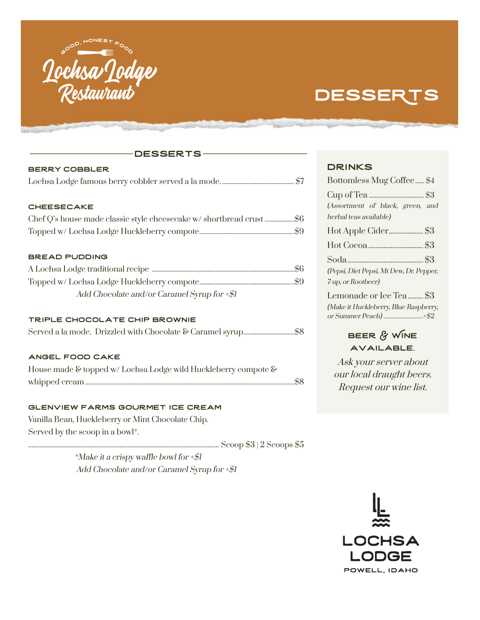

# **DESSERTS**

## desserts

| <b>BERRY COBBLER</b>                                 |  |
|------------------------------------------------------|--|
|                                                      |  |
|                                                      |  |
| <b>CHEESECAKE</b>                                    |  |
|                                                      |  |
|                                                      |  |
| <b>BREAD PUDDING</b>                                 |  |
|                                                      |  |
|                                                      |  |
| Add Chocolate and/or Caramel Syrup for $\mathcal{L}$ |  |

### Triple Chocolate Chip Brownie

#### angel food cake

| House made & topped w/ Lochsa Lodge wild Huckleberry compote & |  |
|----------------------------------------------------------------|--|
|                                                                |  |

#### Glenview Farms Gourmet ice cream

Vanilla Bean, Huckleberry or Mint Chocolate Chip. Served by the scoop in a bowl\*.

..................................................................................................................... Scoop \$3 | 2 Scoops \$5

\*Make it a crispy waffle bowl for  $+\frac{1}{2}$ Add Chocolate and/or Caramel Syrup for  $+\frac{2}{3}I$ 

## **DRINKS**

| Bottomless Mug Coffee \$4               |
|-----------------------------------------|
|                                         |
| (Assortment of black, green, and        |
| herbal teas available)                  |
|                                         |
|                                         |
|                                         |
| (Pepsi, Diet Pepsi, Mt Dew, Dr. Pepper, |
| 7-up, or Rootbeer)                      |
| Lemonade or Ice Tea \$3                 |
| (Make it Huckleberry, Blue Raspberry,   |
|                                         |

# BEER & WINE available.

Ask your server about our local draught beers. Request our wine list.